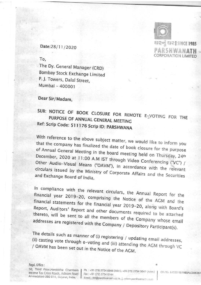# 티코이 티리 SINCE 1985

PARSHWANATH **CORPORATION LIMITED** 

Date:28/11/2020

To.

The Dy. General Manager (CRD) Bombay Stock Exchange Limited P. J. Towers, Dalal Street, Mumbai - 400001

Dear Sir/Madam,

# SUB: NOTICE OF BOOK CLOSURE FOR REMOTE E-VOTING FOR THE PURPOSE OF ANNUAL GENERAL MEETING Ref: Scrip Code: 511176 Scrip ID: PARSHWANA

With reference to the above subject matter, we would like to inform you that the company has finalized the date of book closure for the purpose of Annual General Meeting in the board meeting held on Thursday, 24th December, 2020 at 11:00 A.M IST through Video Conferencing ("VC") / Other Audio-Visual Means ("OAVM"), in accordance with the relevant circulars issued by the Ministry of Corporate Affairs and the Securities and Exchange Board of India.

In compliance with the relevant circulars, the Annual Report for the financial year 2019-20, comprising the Notice of the AGM and the financial statements for the financial year 2019-20, along with Board's Report, Auditors' Report and other documents required to be attached thereto, will be sent to all the members of the Company whose email addresses are registered with the Company / Depository Participant(s).

The details such as manner of (i) registering / updating email addresses, (ii) casting vote through e-voting and (iii) attending the AGM through VC / OAVM has been set out in the Notice of the AGM.

Regd. Office: 50, Third Floor, Harsiddha Chambers Income Tax Cross Roads, Ashram Road Ahmedabad-380 014, Gujarat, India.

Ph.: +91 (79) 2754 0848 (Mkt.), +91 (79) 2754 0647 (Adm.) Fax: +91 (79) 2754 0144

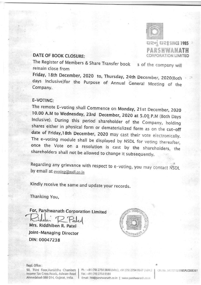

티근어 티코 SINCE 1985 PARSHWANATH **CORPORATION LIMITED** 

## **DATE OF BOOK CLOSURE:**

The Register of Members & Share Transfer book s of the company will remain close from

Friday, 18th December, 2020 to, Thursday, 24th December, 2020(Both days Inclusive)for the Purpose of Annual General Meeting of the Company.

#### E-VOTING:

The remote E-voting shall Commence on Monday, 21st December, 2020 10.00 A.M to Wednesday, 23rd December, 2020 at 5.00 P.M (Both Days Inclusive). During this period shareholder of the Company, holding shares either in physical form or dematerialized form as on the cut-off date of Friday, 18th December, 2020 may cast their vote electronically. The e-voting module shall be displayed by NSDL for voting thereafter, once the Vote on a resolution is cast by the shareholders, the shareholders shall not be allowed to change it subsequently.

Regarding any grievance with respect to e-voting, you may contact NSDL by email at evoting@nsdl.co.in

Kindly receive the same and update your records.

Thanking You,

For, Parshwanath Corporation Limited Mrs. Riddhiben R. Patel

Joint-Managing Director DIN: 00047238



Regd. Office :

50, Third Floor, Harsiddha Chambers Income Tax Cross Roads, Ashram Road Ahmedabad-380 014, Gujarat, India.

Ph.: +91 (79) 2754 0848 (Mkt.), +91 (79) 2754 0647 (Adm.) | Fax: +91 (79) 2754 0144

CIN No. L49201GJ1985PLC008361

Email: Itd@parshwanath.co.in | www.parshwanath.co.in